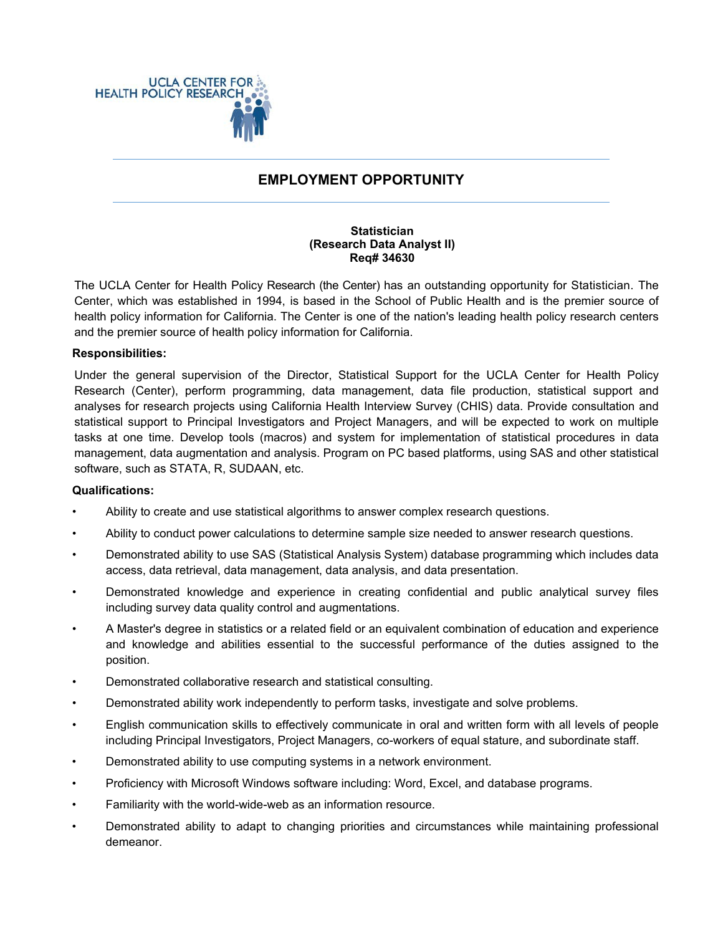

# **EMPLOYMENT OPPORTUNITY**

#### **Statistician (Research Data Analyst II) Req# 34630**

The UCLA Center for Health Policy Research (the Center) has an outstanding opportunity for Statistician. The Center, which was established in 1994, is based in the School of Public Health and is the premier source of health policy information for California. The Center is one of the nation's leading health policy research centers and the premier source of health policy information for California.

## **Responsibilities:**

Under the general supervision of the Director, Statistical Support for the UCLA Center for Health Policy Research (Center), perform programming, data management, data file production, statistical support and analyses for research projects using California Health Interview Survey (CHIS) data. Provide consultation and statistical support to Principal Investigators and Project Managers, and will be expected to work on multiple tasks at one time. Develop tools (macros) and system for implementation of statistical procedures in data management, data augmentation and analysis. Program on PC based platforms, using SAS and other statistical software, such as STATA, R, SUDAAN, etc.

#### **Qualifications:**

- Ability to create and use statistical algorithms to answer complex research questions.
- Ability to conduct power calculations to determine sample size needed to answer research questions.
- Demonstrated ability to use SAS (Statistical Analysis System) database programming which includes data access, data retrieval, data management, data analysis, and data presentation.
- Demonstrated knowledge and experience in creating confidential and public analytical survey files including survey data quality control and augmentations.
- A Master's degree in statistics or a related field or an equivalent combination of education and experience and knowledge and abilities essential to the successful performance of the duties assigned to the position.
- Demonstrated collaborative research and statistical consulting.
- Demonstrated ability work independently to perform tasks, investigate and solve problems.
- English communication skills to effectively communicate in oral and written form with all levels of people including Principal Investigators, Project Managers, co-workers of equal stature, and subordinate staff.
- Demonstrated ability to use computing systems in a network environment.
- Proficiency with Microsoft Windows software including: Word, Excel, and database programs.
- Familiarity with the world-wide-web as an information resource.
- Demonstrated ability to adapt to changing priorities and circumstances while maintaining professional demeanor.